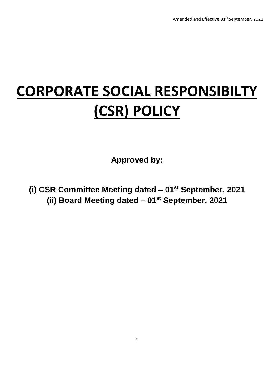# **CORPORATE SOCIAL RESPONSIBILTY (CSR) POLICY**

**Approved by:**

**(i) CSR Committee Meeting dated – 01st September, 2021 (ii) Board Meeting dated – 01st September, 2021**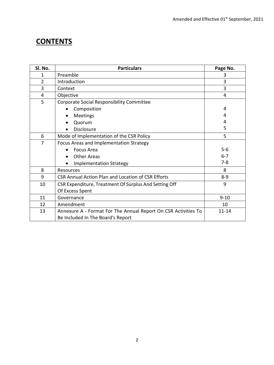# **CONTENTS**

| Sl. No.        | <b>Particulars</b>                                             | Page No.  |  |  |  |  |
|----------------|----------------------------------------------------------------|-----------|--|--|--|--|
| 1              | Preamble                                                       | 3         |  |  |  |  |
| $\overline{2}$ | Introduction                                                   | 3         |  |  |  |  |
| 3              | Context                                                        | 3         |  |  |  |  |
| 4              | Objective                                                      | 4         |  |  |  |  |
| 5              | Corporate Social Responsibility Committee                      |           |  |  |  |  |
|                | Composition                                                    | 4         |  |  |  |  |
|                | Meetings                                                       | 4         |  |  |  |  |
|                | Quorum                                                         | 4         |  |  |  |  |
|                | <b>Disclosure</b>                                              | 5         |  |  |  |  |
| 6              | Mode of Implementation of the CSR Policy                       | 5         |  |  |  |  |
| 7              | Focus Areas and Implementation Strategy                        |           |  |  |  |  |
|                | <b>Focus Area</b><br>$\bullet$                                 | $5-6$     |  |  |  |  |
|                | <b>Other Areas</b>                                             | $6 - 7$   |  |  |  |  |
|                | <b>Implementation Strategy</b>                                 | $7 - 8$   |  |  |  |  |
| 8              | <b>Resources</b>                                               | 8         |  |  |  |  |
| 9              | CSR Annual Action Plan and Location of CSR Efforts             | $8 - 9$   |  |  |  |  |
| 10             | CSR Expenditure, Treatment Of Surplus And Setting Off          | 9         |  |  |  |  |
|                | Of Excess Spent                                                |           |  |  |  |  |
| 11             | $9 - 10$<br>Governance                                         |           |  |  |  |  |
| 12             | Amendment                                                      | 10        |  |  |  |  |
| 13             | Annexure A - Format For The Annual Report On CSR Activities To | $11 - 14$ |  |  |  |  |
|                | Be Included In The Board's Report                              |           |  |  |  |  |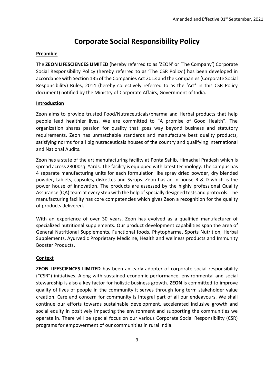# **Corporate Social Responsibility Policy**

# **Preamble**

The **ZEON LIFESCIENCES LIMITED** (hereby referred to as 'ZEON' or 'The Company') Corporate Social Responsibility Policy (hereby referred to as 'The CSR Policy') has been developed in accordance with Section 135 of the Companies Act 2013 and the Companies (Corporate Social Responsibility) Rules, 2014 (hereby collectively referred to as the 'Act' in this CSR Policy document) notified by the Ministry of Corporate Affairs, Government of India.

# **Introduction**

Zeon aims to provide trusted Food/Nutraceuticals/pharma and Herbal products that help people lead healthier lives. We are committed to "A promise of Good Health". The organization shares passion for quality that goes way beyond business and statutory requirements. Zeon has unmatchable standards and manufacture best quality products, satisfying norms for all big nutraceuticals houses of the country and qualifying International and National Audits.

Zeon has a state of the art manufacturing facility at Ponta Sahib, Himachal Pradesh which is spread across 28000sq. Yards. The facility is equipped with latest technology. The campus has 4 separate manufacturing units for each formulation like spray dried powder, dry blended powder, tablets, capsules, diskettes and Syrups. Zeon has an in house R & D which is the power house of innovation. The products are assessed by the highly professional Quality Assurance (QA) team at every step with the help of specially designed tests and protocols. The manufacturing facility has core competencies which gives Zeon a recognition for the quality of products delivered.

With an experience of over 30 years, Zeon has evolved as a qualified manufacturer of specialized nutritional supplements. Our product development capabilities span the area of General Nutritional Supplements, Functional foods, Phytopharma, Sports Nutrition, Herbal Supplements, Ayurvedic Proprietary Medicine, Health and wellness products and Immunity Booster Products.

# **Context**

**ZEON LIFESCIENCES LIMITED** has been an early adopter of corporate social responsibility ("CSR") initiatives. Along with sustained economic performance, environmental and social stewardship is also a key factor for holistic business growth. **ZEON** is committed to improve quality of lives of people in the community it serves through long term stakeholder value creation. Care and concern for community is integral part of all our endeavours. We shall continue our efforts towards sustainable development, accelerated inclusive growth and social equity in positively impacting the environment and supporting the communities we operate in. There will be special focus on our various Corporate Social Responsibility (CSR) programs for empowerment of our communities in rural India.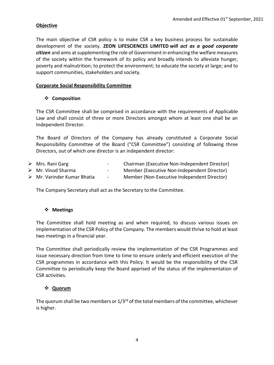# **Objective**

The main objective of CSR policy is to make CSR a key business process for sustainable development of the society. **ZEON LIFESCIENCES LIMITED** *will act as a good corporate citizen* and aims at supplementing the role of Government in enhancing the welfare measures of the society within the framework of its policy and broadly intends to alleviate hunger, poverty and malnutrition; to protect the environment; to educate the society at large; and to support communities, stakeholders and society.

# **Corporate Social Responsibility Committee**

# **Composition**

The CSR Committee shall be comprised in accordance with the requirements of Applicable Law and shall consist of three or more Directors amongst whom at least one shall be an Independent Director.

The Board of Directors of the Company has already constituted a Corporate Social Responsibility Committee of the Board ("CSR Committee") consisting of following three Directors, out of which one director is an independent director:

| $\triangleright$ Mrs. Rani Garg            | $\sim$ | Chairman (Executive Non-Independent Director) |
|--------------------------------------------|--------|-----------------------------------------------|
| $\triangleright$ Mr. Vinod Sharma          | $\sim$ | Member (Executive Non-Independent Director)   |
| $\triangleright$ Mr. Varinder Kumar Bhatia | $\sim$ | Member (Non-Executive Independent Director)   |

The Company Secretary shall act as the Secretary to the Committee.

# **Meetings**

The Committee shall hold meeting as and when required, to discuss various issues on implementation of the CSR Policy of the Company. The members would thrive to hold at least two meetings in a financial year.

The Committee shall periodically review the implementation of the CSR Programmes and issue necessary direction from time to time to ensure orderly and efficient execution of the CSR programmes in accordance with this Policy. It would be the responsibility of the CSR Committee to periodically keep the Board apprised of the status of the implementation of CSR activities.

# **Quorum**

The quorum shall be two members or  $1/3^{rd}$  of the total members of the committee, whichever is higher.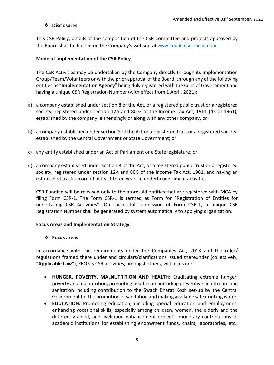# **Disclosures**

This CSR Policy, details of the composition of the CSR Committee and projects approved by the Board shall be hosted on the Company's website at [www.zeonlifesciences.com.](http://www.zeonlifesciences.com/)

## **Mode of Implementation of the CSR Policy**

The CSR Activities may be undertaken by the Company directly through its Implementation Group/Team/Volunteers or with the prior approval of the Board, through any of the following entities as "**Implementation Agency**" being duly registered with the Central Government and having a unique CSR Registration Number (with effect from 1 April, 2021):

- a) a company established under section 8 of the Act, or a registered public trust or a registered society, registered under section 12A and 80 G of the Income Tax Act, 1961 (43 of 1961), established by the company, either singly or along with any other company, or
- b) a company established under section 8 of the Act or a registered trust or a registered society, established by the Central Government or State Government; or
- c) any entity established under an Act of Parliament or a State legislature; or
- d) a company established under section 8 of the Act, or a registered public trust or a registered society, registered under section 12A and 80G of the Income Tax Act, 1961, and having an established track record of at least three years in undertaking similar activities.

CSR Funding will be released only to the aforesaid entities that are registered with MCA by filing Form CSR-1. The Form CSR-1 is termed as Form for "Registration of Entities for undertaking CSR Activities". On successful submission of Form CSR-1, a unique CSR Registration Number shall be generated by system automatically to applying organization.

#### **Focus Areas and Implementation Strategy**

#### **Focus areas**

In accordance with the requirements under the Companies Act, 2013 and the rules/ regulations framed there under and circulars/clarifications issued thereunder (collectively, "**Applicable Law**"), ZEON's CSR activities, amongst others, will focus on:

- **HUNGER, POVERTY, MALNUTRITION AND HEALTH:** Eradicating extreme hunger, poverty and malnutrition, promoting health care including preventive health care and sanitation including contribution to the Swach Bharat Kosh set-up by the Central Government for the promotion of sanitation and making available safe drinking water.
- **EDUCATION:** Promoting education, including special education and employmentenhancing vocational skills, especially among children, women, the elderly and the differently abled, and livelihood enhancement projects; monetary contributions to academic institutions for establishing endowment funds, chairs, laboratories, etc.,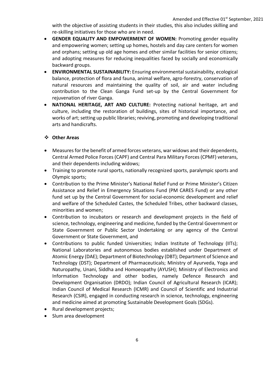with the objective of assisting students in their studies, this also includes skilling and re-skilling initiatives for those who are in need.

- **GENDER EQUALITY AND EMPOWERMENT OF WOMEN:** Promoting gender equality and empowering women; setting up homes, hostels and day care centers for women and orphans; setting up old age homes and other similar facilities for senior citizens; and adopting measures for reducing inequalities faced by socially and economically backward groups.
- **ENVIRONMENTAL SUSTAINABILITY:** Ensuring environmental sustainability, ecological balance, protection of flora and fauna, animal welfare, agro-forestry, conservation of natural resources and maintaining the quality of soil, air and water including contribution to the Clean Ganga Fund set-up by the Central Government for rejuvenation of river Ganga.
- **NATIONAL HERITAGE, ART AND CULTURE:** Protecting national heritage, art and culture, including the restoration of buildings, sites of historical importance, and works of art; setting up public libraries; reviving, promoting and developing traditional arts and handicrafts.

# **Other Areas**

- Measures for the benefit of armed forces veterans, war widows and their dependents, Central Armed Police Forces (CAPF) and Central Para Military Forces (CPMF) veterans, and their dependents including widows;
- Training to promote rural sports, nationally recognized sports, paralympic sports and Olympic sports;
- Contribution to the Prime Minister's National Relief Fund or Prime Minister's Citizen Assistance and Relief in Emergency Situations Fund (PM CARES Fund) or any other fund set up by the Central Government for social-economic development and relief and welfare of the Scheduled Castes, the Scheduled Tribes, other backward classes, minorities and women;
- Contribution to incubators or research and development projects in the field of science, technology, engineering and medicine, funded by the Central Government or State Government or Public Sector Undertaking or any agency of the Central Government or State Government, and
- Contributions to public funded Universities; Indian Institute of Technology (IITs); National Laboratories and autonomous bodies established under Department of Atomic Energy (DAE); Department of Biotechnology (DBT); Department of Science and Technology (DST); Department of Pharmaceuticals; Ministry of Ayurveda, Yoga and Naturopathy, Unani, Siddha and Homoeopathy (AYUSH); Ministry of Electronics and Information Technology and other bodies, namely Defence Research and Development Organisation (DRDO); Indian Council of Agricultural Research (ICAR); Indian Council of Medical Research (ICMR) and Council of Scientific and Industrial Research (CSIR), engaged in conducting research in science, technology, engineering and medicine aimed at promoting Sustainable Development Goals (SDGs).
- Rural development projects;
- Slum area development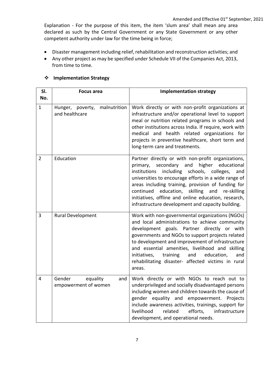Explanation - For the purpose of this item, the item 'slum area' shall mean any area declared as such by the Central Government or any State Government or any other competent authority under law for the time being in force;

- Disaster management including relief, rehabilitation and reconstruction activities; and
- Any other project as may be specified under Schedule VII of the Companies Act, 2013, from time to time.

| SI.            | <b>Focus area</b>                                     | <b>Implementation strategy</b>                                                                                                                                                                                                                                                                                                                                                                                                                             |
|----------------|-------------------------------------------------------|------------------------------------------------------------------------------------------------------------------------------------------------------------------------------------------------------------------------------------------------------------------------------------------------------------------------------------------------------------------------------------------------------------------------------------------------------------|
| No.            |                                                       |                                                                                                                                                                                                                                                                                                                                                                                                                                                            |
| 1              | malnutrition<br>Hunger,<br>poverty,<br>and healthcare | Work directly or with non-profit organizations at<br>infrastructure and/or operational level to support<br>meal or nutrition related programs in schools and<br>other institutions across India. If require, work with<br>medical and health related organizations for<br>projects in preventive healthcare, short term and<br>long-term care and treatments.                                                                                              |
| $\overline{2}$ | Education                                             | Partner directly or with non-profit organizations,<br>higher<br>primary,<br>secondary and<br>educational<br>institutions including<br>schools,<br>colleges,<br>and<br>universities to encourage efforts in a wide range of<br>areas including training, provision of funding for<br>skilling<br>continued<br>education,<br>and<br>re-skilling<br>initiatives, offline and online education, research,<br>infrastructure development and capacity building. |
| 3              | <b>Rural Development</b>                              | Work with non-governmental organizations (NGOs)<br>and local administrations to achieve community<br>development goals. Partner directly or with<br>governments and NGOs to support projects related<br>to development and improvement of infrastructure<br>and essential amenities, livelihood and skilling<br>initiatives,<br>training<br>and<br>education,<br>and<br>rehabilitating disaster- affected victims in rural<br>areas.                       |
| 4              | Gender<br>equality<br>and<br>empowerment of women     | Work directly or with NGOs to reach out to<br>underprivileged and socially disadvantaged persons<br>including women and children towards the cause of<br>gender equality and empowerment.<br>Projects<br>include awareness activities, trainings, support for<br>livelihood<br>related<br>efforts,<br>infrastructure<br>development, and operational needs.                                                                                                |

#### **Implementation Strategy**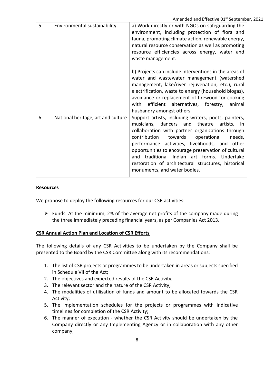|   |                                    | $\mu$ increased and Encenve of September                                                                                                                                                                                                                                                                                                                                                                                                                     |
|---|------------------------------------|--------------------------------------------------------------------------------------------------------------------------------------------------------------------------------------------------------------------------------------------------------------------------------------------------------------------------------------------------------------------------------------------------------------------------------------------------------------|
| 5 | Environmental sustainability       | a) Work directly or with NGOs on safeguarding the<br>environment, including protection of flora and<br>fauna, promoting climate action, renewable energy,<br>natural resource conservation as well as promoting<br>resource efficiencies across energy, water and<br>waste management.                                                                                                                                                                       |
|   |                                    | b) Projects can include interventions in the areas of<br>water and wastewater management (watershed<br>management, lake/river rejuvenation, etc.), rural<br>electrification, waste to energy (household biogas),<br>avoidance or replacement of firewood for cooking<br>efficient alternatives, forestry,<br>animal<br>with<br>husbandry amongst others.                                                                                                     |
| 6 | National heritage, art and culture | Support artists, including writers, poets, painters,<br>musicians, dancers and theatre<br>artists, in<br>collaboration with partner organizations through<br>contribution<br>towards<br>operational<br>needs,<br>performance activities, livelihoods, and other<br>opportunities to encourage preservation of cultural<br>and traditional Indian art forms. Undertake<br>restoration of architectural structures, historical<br>monuments, and water bodies. |

#### **Resources**

We propose to deploy the following resources for our CSR activities:

 $\triangleright$  Funds: At the minimum, 2% of the average net profits of the company made during the three immediately preceding financial years, as per Companies Act 2013.

#### **CSR Annual Action Plan and Location of CSR Efforts**

The following details of any CSR Activities to be undertaken by the Company shall be presented to the Board by the CSR Committee along with its recommendations:

- 1. The list of CSR projects or programmes to be undertaken in areas or subjects specified in Schedule VII of the Act;
- 2. The objectives and expected results of the CSR Activity;
- 3. The relevant sector and the nature of the CSR Activity;
- 4. The modalities of utilisation of funds and amount to be allocated towards the CSR Activity;
- 5. The implementation schedules for the projects or programmes with indicative timelines for completion of the CSR Activity;
- 6. The manner of execution whether the CSR Activity should be undertaken by the Company directly or any Implementing Agency or in collaboration with any other company;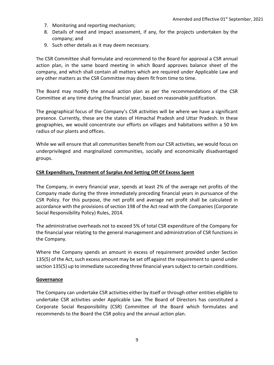- 7. Monitoring and reporting mechanism;
- 8. Details of need and impact assessment, if any, for the projects undertaken by the company; and
- 9. Such other details as it may deem necessary.

The CSR Committee shall formulate and recommend to the Board for approval a CSR annual action plan, in the same board meeting in which Board approves balance sheet of the company, and which shall contain all matters which are required under Applicable Law and any other matters as the CSR Committee may deem fit from time to time.

The Board may modify the annual action plan as per the recommendations of the CSR Committee at any time during the financial year, based on reasonable justification.

The geographical focus of the Company's CSR activities will be where we have a significant presence. Currently, these are the states of Himachal Pradesh and Uttar Pradesh. In these geographies, we would concentrate our efforts on villages and habitations within a 50 km radius of our plants and offices.

While we will ensure that all communities benefit from our CSR activities, we would focus on underprivileged and marginalized communities, socially and economically disadvantaged groups.

#### **CSR Expenditure, Treatment of Surplus And Setting Off Of Excess Spent**

The Company, in every financial year, spends at least 2% of the average net profits of the Company made during the three immediately preceding financial years in pursuance of the CSR Policy. For this purpose, the net profit and average net profit shall be calculated in accordance with the provisions of section 198 of the Act read with the Companies (Corporate Social Responsibility Policy) Rules, 2014.

The administrative overheads not to exceed 5% of total CSR expenditure of the Company for the financial year relating to the general management and administration of CSR functions in the Company.

Where the Company spends an amount in excess of requirement provided under Section 135(5) of the Act, such excess amount may be set off against the requirement to spend under section 135(5) up to immediate succeeding three financial years subject to certain conditions.

#### **Governance**

The Company can undertake CSR activities either by itself or through other entities eligible to undertake CSR activities under Applicable Law. The Board of Directors has constituted a Corporate Social Responsibility (CSR) Committee of the Board which formulates and recommends to the Board the CSR policy and the annual action plan.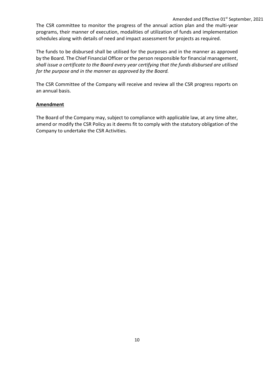#### Amended and Effective 01<sup>st</sup> September, 2021

The CSR committee to monitor the progress of the annual action plan and the multi-year programs, their manner of execution, modalities of utilization of funds and implementation schedules along with details of need and impact assessment for projects as required.

The funds to be disbursed shall be utilised for the purposes and in the manner as approved by the Board. The Chief Financial Officer or the person responsible for financial management, *shall issue a certificate to the Board every year certifying that the funds disbursed are utilised for the purpose and in the manner as approved by the Board.*

The CSR Committee of the Company will receive and review all the CSR progress reports on an annual basis.

#### **Amendment**

The Board of the Company may, subject to compliance with applicable law, at any time alter, amend or modify the CSR Policy as it deems fit to comply with the statutory obligation of the Company to undertake the CSR Activities.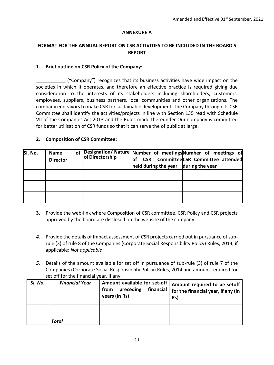## **ANNEXURE A**

# **FORMAT FOR THE ANNUAL REPORT ON CSR ACTIVITIES TO BE INCLUDED IN THE BOARD'S REPORT**

#### **1. Brief outline on CSR Policy of the Company:**

\_\_\_\_\_\_\_\_\_\_\_ ("Company") recognizes that its business activities have wide impact on the societies in which it operates, and therefore an effective practice is required giving due consideration to the interests of its stakeholders including shareholders, customers, employees, suppliers, business partners, local communities and other organizations. The company endeavors to make CSR for sustainable development. The Company through its CSR Committee shall identify the activities/projects in line with Section 135 read with Schedule VII of the Companies Act 2013 and the Rules made thereunder Our company is committed for better utilisation of CSR funds so that it can serve the of public at large.

## **2. Composition of CSR Committee:**

| SI. No. | <b>Name</b><br><b>Director</b> | <b>of</b> | Designation/Nature Number of meetings Number of meetings of<br>of Directorship | lof<br>held during the year | CSR CommitteeCSR Committee attended | during the year |  |
|---------|--------------------------------|-----------|--------------------------------------------------------------------------------|-----------------------------|-------------------------------------|-----------------|--|
|         |                                |           |                                                                                |                             |                                     |                 |  |
|         |                                |           |                                                                                |                             |                                     |                 |  |
|         |                                |           |                                                                                |                             |                                     |                 |  |

- **3.** Provide the web-link where Composition of CSR committee, CSR Policy and CSR projects approved by the board are disclosed on the website of the company:
- *4.* Provide the details of Impact assessment of CSR projects carried out in pursuance of subrule (3) of rule 8 of the Companies (Corporate Social Responsibility Policy) Rules, 2014, if applicable: *Not applicable*
- *5.* Details of the amount available for set off in pursuance of sub-rule (3) of rule 7 of the Companies (Corporate Social Responsibility Policy) Rules, 2014 and amount required for set off for the financial year, if any:

| SI. No. | <b>Financial Year</b> | preceding<br>from<br>years (in Rs) | Amount available for set-off   Amount required to be setoff<br>financial $ $ for the financial year, if any (in<br>Rs) |
|---------|-----------------------|------------------------------------|------------------------------------------------------------------------------------------------------------------------|
|         |                       |                                    |                                                                                                                        |
|         |                       |                                    |                                                                                                                        |
|         | Total                 |                                    |                                                                                                                        |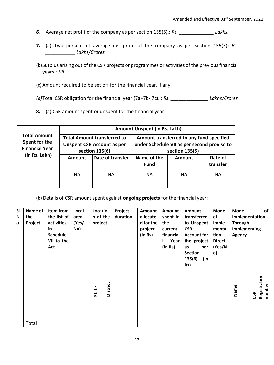- *6.* Average net profit of the company as per section 135(5).: *Rs. \_\_\_\_\_\_\_\_\_\_\_\_\_ Lakhs.*
- **7.** (a) Two percent of average net profit of the company as per section 135(5): *Rs. \_\_\_\_\_\_\_\_\_\_\_ Lakhs/Crores*
- (b)Surplus arising out of the CSR projects or programmes or activities of the previous financial years.: *Nil*
- (c) Amount required to be set off for the financial year, if any:

*(d)*Total CSR obligation for the financial year (7a+7b- 7c). : *Rs. \_\_\_\_\_\_\_\_\_\_\_\_\_\_ Lakhs/Crores*

**8.** (a) CSR amount spent or unspent for the financial year:

|                                                               | Amount Unspent (in Rs. Lakh) |                                                                                           |                                                                                                           |               |                     |  |  |  |  |
|---------------------------------------------------------------|------------------------------|-------------------------------------------------------------------------------------------|-----------------------------------------------------------------------------------------------------------|---------------|---------------------|--|--|--|--|
| <b>Total Amount</b><br>Spent for the<br><b>Financial Year</b> |                              | <b>Total Amount transferred to</b><br><b>Unspent CSR Account as per</b><br>section 135(6) | Amount transferred to any fund specified<br>under Schedule VII as per second proviso to<br>section 135(5) |               |                     |  |  |  |  |
| (in Rs. Lakh)                                                 | <b>Amount</b>                | Date of transfer                                                                          | Name of the<br><b>Fund</b>                                                                                | <b>Amount</b> | Date of<br>transfer |  |  |  |  |
|                                                               | <b>NA</b>                    | NА                                                                                        | <b>NA</b>                                                                                                 | <b>NA</b>     | <b>NA</b>           |  |  |  |  |

(b) Details of CSR amount spent against **ongoing projects** for the financial year:

| SI.<br>N<br>0. | Name of<br>the<br>Project | Item from<br>the list of<br>activities<br>in<br><b>Schedule</b><br>VII to the<br>Act | Local<br>area<br>(Yes/<br>No) | Locatio<br>n of the<br>project |                 | Project<br>duration | Amount<br>allocate<br>d for the<br>project<br>(in Rs) | Amount<br>spent in<br>the<br>current<br>financia<br>Year<br>(in Rs) | Amount<br>transferred<br>to Unspent<br><b>CSR</b><br><b>Account for</b><br>the project<br>as<br>per<br><b>Section</b><br>135(6)<br>(in<br>Rs) | <b>Mode</b><br>of<br>Imple<br>menta<br>tion<br><b>Direct</b><br>(Yes/N<br>o) | of<br><b>Mode</b><br>Implementation -<br><b>Through</b><br><b>Implementing</b><br><b>Agency</b> |                               |
|----------------|---------------------------|--------------------------------------------------------------------------------------|-------------------------------|--------------------------------|-----------------|---------------------|-------------------------------------------------------|---------------------------------------------------------------------|-----------------------------------------------------------------------------------------------------------------------------------------------|------------------------------------------------------------------------------|-------------------------------------------------------------------------------------------------|-------------------------------|
|                |                           |                                                                                      |                               | State                          | <b>District</b> |                     |                                                       |                                                                     |                                                                                                                                               |                                                                              | Name                                                                                            | Registration<br>number<br>CSR |
|                |                           |                                                                                      |                               |                                |                 |                     |                                                       |                                                                     |                                                                                                                                               |                                                                              |                                                                                                 |                               |
|                |                           |                                                                                      |                               |                                |                 |                     |                                                       |                                                                     |                                                                                                                                               |                                                                              |                                                                                                 |                               |
|                |                           |                                                                                      |                               |                                |                 |                     |                                                       |                                                                     |                                                                                                                                               |                                                                              |                                                                                                 |                               |
|                | Total                     |                                                                                      |                               |                                |                 |                     |                                                       |                                                                     |                                                                                                                                               |                                                                              |                                                                                                 |                               |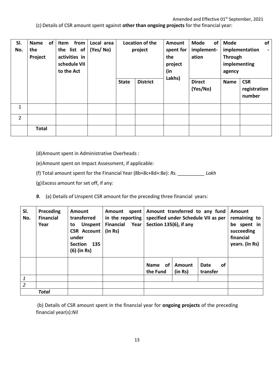(c) Details of CSR amount spent against **other than ongoing projects** for the financial year:

| SI.<br>No.     | <b>of</b><br><b>Name</b><br>the<br>Project | from<br>Item<br>the list of<br>activities in<br>schedule VII<br>to the Act | Local area<br>(Yes/No) | <b>State</b> | Location of the<br>project<br><b>District</b> |  | of<br><b>Mode</b><br>implement-<br>ation<br><b>Direct</b><br>(Yes/No) | <b>Mode</b><br><b>Through</b><br>implementing<br>agency<br><b>Name</b> | of<br>implementation<br>$\sim$<br><b>CSR</b><br>registration<br>number |
|----------------|--------------------------------------------|----------------------------------------------------------------------------|------------------------|--------------|-----------------------------------------------|--|-----------------------------------------------------------------------|------------------------------------------------------------------------|------------------------------------------------------------------------|
| $\mathbf{1}$   |                                            |                                                                            |                        |              |                                               |  |                                                                       |                                                                        |                                                                        |
| $\overline{2}$ |                                            |                                                                            |                        |              |                                               |  |                                                                       |                                                                        |                                                                        |
|                | <b>Total</b>                               |                                                                            |                        |              |                                               |  |                                                                       |                                                                        |                                                                        |

(d)Amount spent in Administrative Overheads :

(e)Amount spent on Impact Assessment, if applicable:

(f) Total amount spent for the Financial Year (8b+8c+8d+:8e): *Rs. \_\_\_\_\_\_\_\_\_\_ Lakh*

(g)Excess amount for set off, if any*:*

*9.* (a) Details of Unspent CSR amount for the preceding three financial years:

| SI.<br>No.     | Preceding<br><b>Financial</b><br>Year | Amount<br>transferred<br><b>Unspent</b><br>to<br><b>CSR Account</b><br>under<br><b>Section</b><br>135<br>(6) (in Rs) | Amount<br>in the reporting<br><b>Financial Year</b><br>(in Rs) | spent | Amount transferred to any fund<br>specified under Schedule VII as per<br>Section 135(6), if any |                   |                  |    | Amount<br>remaining to<br>be spent in<br>succeeding<br>financial<br>years. (in Rs) |
|----------------|---------------------------------------|----------------------------------------------------------------------------------------------------------------------|----------------------------------------------------------------|-------|-------------------------------------------------------------------------------------------------|-------------------|------------------|----|------------------------------------------------------------------------------------|
|                |                                       |                                                                                                                      |                                                                |       | <b>of</b><br><b>Name</b><br>the Fund                                                            | Amount<br>(in Rs) | Date<br>transfer | 0f |                                                                                    |
| 1              |                                       |                                                                                                                      |                                                                |       |                                                                                                 |                   |                  |    |                                                                                    |
| $\overline{2}$ |                                       |                                                                                                                      |                                                                |       |                                                                                                 |                   |                  |    |                                                                                    |
|                | <b>Total</b>                          |                                                                                                                      |                                                                |       |                                                                                                 |                   |                  |    |                                                                                    |

(b) Details of CSR amount spent in the financial year for **ongoing projects** of the preceding financial year(s):*Nil*